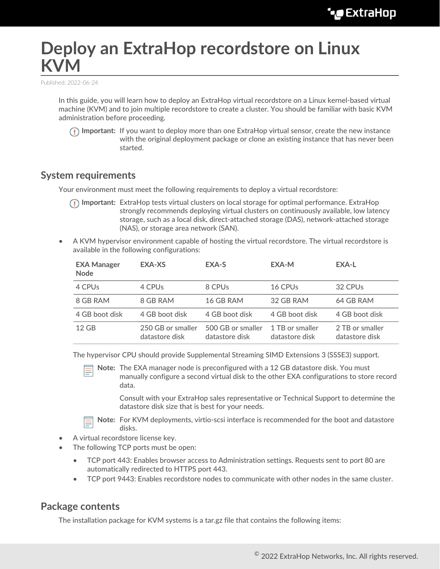# **Deploy an ExtraHop recordstore on Linux KVM**

Published: 2022-06-24

In this guide, you will learn how to deploy an ExtraHop virtual recordstore on a Linux kernel-based virtual machine (KVM) and to join multiple recordstore to create a cluster. You should be familiar with basic KVM administration before proceeding.

**Important:** If you want to deploy more than one ExtraHop virtual sensor, create the new instance with the original deployment package or clone an existing instance that has never been started.

#### **System requirements**

Your environment must meet the following requirements to deploy a virtual recordstore:

- **Important:** ExtraHop tests virtual clusters on local storage for optimal performance. ExtraHop strongly recommends deploying virtual clusters on continuously available, low latency storage, such as a local disk, direct-attached storage (DAS), network-attached storage (NAS), or storage area network (SAN).
- A KVM hypervisor environment capable of hosting the virtual recordstore. The virtual recordstore is available in the following configurations:

| <b>EXA Manager</b><br><b>Node</b> | EXA-XS                              | EXA-S                               | EXA-M                             | EXA-L                             |
|-----------------------------------|-------------------------------------|-------------------------------------|-----------------------------------|-----------------------------------|
| 4 CPU <sub>S</sub>                | 4 CPUs                              | 8 CPUs                              | 16 CPU <sub>s</sub>               | 32 CPU <sub>s</sub>               |
| 8 GB RAM                          | 8 GB RAM                            | 16 GB RAM                           | 32 GB RAM                         | 64 GB RAM                         |
| 4 GB boot disk                    | 4 GB boot disk                      | 4 GB boot disk                      | 4 GB boot disk                    | 4 GB boot disk                    |
| $12$ GB                           | 250 GB or smaller<br>datastore disk | 500 GB or smaller<br>datastore disk | 1 TB or smaller<br>datastore disk | 2 TB or smaller<br>datastore disk |

The hypervisor CPU should provide Supplemental Streaming SIMD Extensions 3 (SSSE3) support.

**Note:** The EXA manager node is preconfigured with a 12 GB datastore disk. You must manually configure a second virtual disk to the other EXA configurations to store record data.

Consult with your ExtraHop sales representative or Technical Support to determine the datastore disk size that is best for your needs.

**Note:** For KVM deployments, virtio-scsi interface is recommended for the boot and datastore disks.

- A virtual recordstore license key.
- The following TCP ports must be open:
	- TCP port 443: Enables browser access to Administration settings. Requests sent to port 80 are automatically redirected to HTTPS port 443.
	- TCP port 9443: Enables recordstore nodes to communicate with other nodes in the same cluster.

#### **Package contents**

The installation package for KVM systems is a tar.gz file that contains the following items: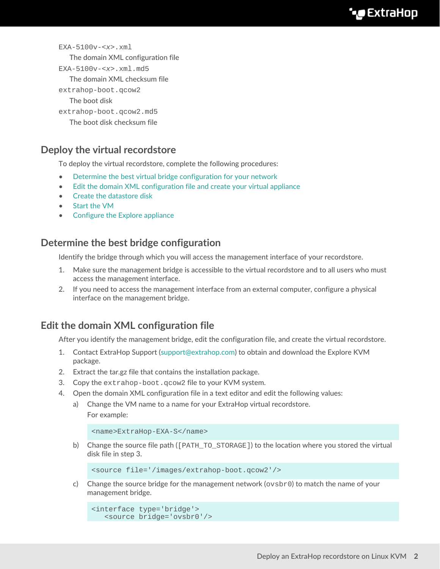```
EXA-5100v-<x>.xml
  The domain XML configuration file
EXA-5100v-<x>.xml.md5
  The domain XML checksum file
extrahop-boot.qcow2
  The boot disk
extrahop-boot.qcow2.md5
  The boot disk checksum file
```
### **Deploy the virtual recordstore**

To deploy the virtual recordstore, complete the following procedures:

- [Determine the best virtual bridge configuration for your network](#page-1-0)
- [Edit the domain XML configuration file and create your virtual appliance](#page-1-1)
- [Create the datastore disk](#page-2-0)
- [Start the VM](#page-2-1)
- [Configure the Explore appliance](#page-3-0)

#### <span id="page-1-0"></span>**Determine the best bridge configuration**

Identify the bridge through which you will access the management interface of your recordstore.

- 1. Make sure the management bridge is accessible to the virtual recordstore and to all users who must access the management interface.
- 2. If you need to access the management interface from an external computer, configure a physical interface on the management bridge.

#### <span id="page-1-1"></span>**Edit the domain XML configuration file**

After you identify the management bridge, edit the configuration file, and create the virtual recordstore.

- 1. Contact ExtraHop Support ([support@extrahop.com\)](mailto:support@extrahop.com) to obtain and download the Explore KVM package.
- 2. Extract the tar.gz file that contains the installation package.
- 3. Copy the extrahop-boot.qcow2 file to your KVM system.
- 4. Open the domain XML configuration file in a text editor and edit the following values:
	- a) Change the VM name to a name for your ExtraHop virtual recordstore. For example:

```
<name>ExtraHop-EXA-S</name>
```
b) Change the source file path ( $[PATH TO STORAGE]$ ) to the location where you stored the virtual disk file in step 3.

```
<source file='/images/extrahop-boot.qcow2'/>
```
c) Change the source bridge for the management network ( $\cos b$  to match the name of your management bridge.

```
<interface type='bridge'>
   <source bridge='ovsbr0'/>
```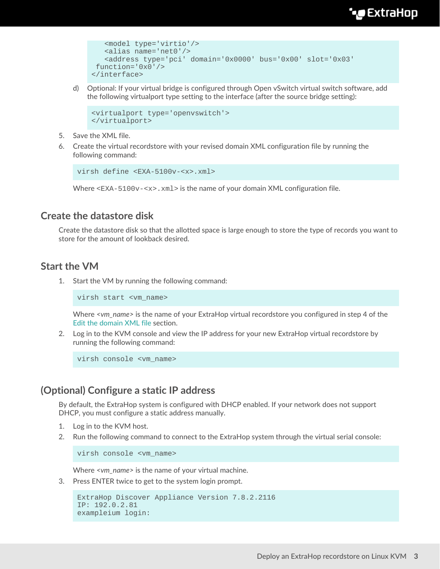## **∙e** ExtraHop

```
 <model type='virtio'/>
    <alias name='net0'/>
    <address type='pci' domain='0x0000' bus='0x00' slot='0x03'
 function='0x0'/>
</interface>
```
d) Optional: If your virtual bridge is configured through Open vSwitch virtual switch software, add the following virtualport type setting to the interface (after the source bridge setting):

```
<virtualport type='openvswitch'>
</virtualport>
```
- 5. Save the XML file.
- 6. Create the virtual recordstore with your revised domain XML configuration file by running the following command:

```
virsh define <EXA-5100v-<x>.xml>
```
Where  $\langle$ EXA-5100v- $\langle$ x>. xml> is the name of your domain XML configuration file.

#### <span id="page-2-0"></span>**Create the datastore disk**

Create the datastore disk so that the allotted space is large enough to store the type of records you want to store for the amount of lookback desired.

#### <span id="page-2-1"></span>**Start the VM**

1. Start the VM by running the following command:

virsh start <vm\_name>

Where *<vm\_name>* is the name of your ExtraHop virtual recordstore you configured in step 4 of the [Edit the domain XML file](#page-1-1) section.

2. Log in to the KVM console and view the IP address for your new ExtraHop virtual recordstore by running the following command:

virsh console <vm\_name>

#### **(Optional) Configure a static IP address**

By default, the ExtraHop system is configured with DHCP enabled. If your network does not support DHCP, you must configure a static address manually.

- 1. Log in to the KVM host.
- 2. Run the following command to connect to the ExtraHop system through the virtual serial console:

virsh console <vm\_name>

Where *<vm\_name>* is the name of your virtual machine.

3. Press ENTER twice to get to the system login prompt.

```
ExtraHop Discover Appliance Version 7.8.2.2116
IP: 192.0.2.81
exampleium login:
```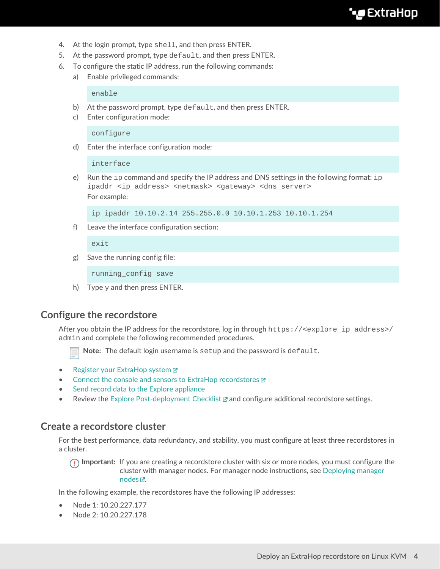- 4. At the login prompt, type shell, and then press ENTER.
- 5. At the password prompt, type default, and then press ENTER.
- 6. To configure the static IP address, run the following commands:
	- a) Enable privileged commands:

enable

- b) At the password prompt, type default, and then press ENTER.
- c) Enter configuration mode:

configure

d) Enter the interface configuration mode:

interface

e) Run the ip command and specify the IP address and DNS settings in the following format: ip ipaddr <ip\_address> <netmask> <gateway> <dns\_server> For example:

ip ipaddr 10.10.2.14 255.255.0.0 10.10.1.253 10.10.1.254

f) Leave the interface configuration section:

 $ev_1$ t

g) Save the running config file:

running\_config save

h) Type  $y$  and then press ENTER.

#### <span id="page-3-0"></span>**Configure the recordstore**

After you obtain the IP address for the recordstore, log in through https://<explore\_ip\_address>/ admin and complete the following recommended procedures.

Note: The default login username is setup and the password is default.

- [Register your ExtraHop system](https://docs.extrahop.com/8.9/register-appliance/#register-your-extrahop-system) M
- [Connect the console and sensors to ExtraHop recordstores](https://docs.extrahop.com/8.9/connect-eda-eca-exa/#connect-the-console-and-sensors-to-extrahop-recordstores)
- [Send record data to the Explore appliance](#page-6-0)
- Review the [Explore Post-deployment Checklist](https://docs.extrahop.com/8.9/exa-post-deployment-checklist/#explore-post-deployment-checklist)  $\Xi$  and configure additional recordstore settings.

#### **Create a recordstore cluster**

For the best performance, data redundancy, and stability, you must configure at least three recordstores in a cluster.

**Important:** If you are creating a recordstore cluster with six or more nodes, you must configure the cluster with manager nodes. For manager node instructions, see [Deploying manager](https://docs.extrahop.com/8.9/deploy-exa-master) nodes  $\mathbb{Z}$ .

In the following example, the recordstores have the following IP addresses:

- Node 1: 10.20.227.177
- Node 2: 10.20.227.178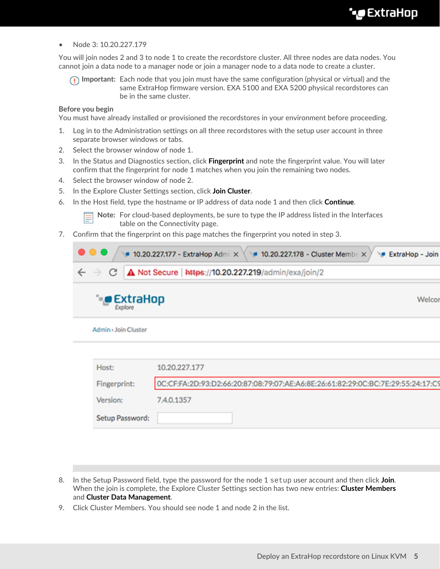• Node 3: 10.20.227.179

You will join nodes 2 and 3 to node 1 to create the recordstore cluster. All three nodes are data nodes. You cannot join a data node to a manager node or join a manager node to a data node to create a cluster.

**Important:** Each node that you join must have the same configuration (physical or virtual) and the same ExtraHop firmware version. EXA 5100 and EXA 5200 physical recordstores can be in the same cluster.

#### **Before you begin**

You must have already installed or provisioned the recordstores in your environment before proceeding.

- 1. Log in to the Administration settings on all three recordstores with the setup user account in three separate browser windows or tabs.
- 2. Select the browser window of node 1.
- 3. In the Status and Diagnostics section, click **Fingerprint** and note the fingerprint value. You will later confirm that the fingerprint for node 1 matches when you join the remaining two nodes.
- 4. Select the browser window of node 2.
- 5. In the Explore Cluster Settings section, click **Join Cluster**.
- 6. In the Host field, type the hostname or IP address of data node 1 and then click **Continue**.

**Note:** For cloud-based deployments, be sure to type the IP address listed in the Interfaces table on the Connectivity page.

7. Confirm that the fingerprint on this page matches the fingerprint you noted in step 3.

| $\bullet$                            | ■ 10.20.227.177 - ExtraHop Admi × 10.20.227.178 - Cluster Membe ×<br><b>ExtraHop - Join</b> |  |  |  |  |
|--------------------------------------|---------------------------------------------------------------------------------------------|--|--|--|--|
| $\leftarrow$ $\rightarrow$<br>С      | A Not Secure   https://10.20.227.219/admin/exa/join/2                                       |  |  |  |  |
| $\bullet$ ExtraHop<br>îв,<br>Explore | Welcor                                                                                      |  |  |  |  |
| Admin > Join Cluster                 |                                                                                             |  |  |  |  |
|                                      |                                                                                             |  |  |  |  |
| Host:                                | 10.20.227.177                                                                               |  |  |  |  |
| Fingerprint:                         | OC:CF:FA:2D:93:D2:66:20:87:08:79:07:AE:A6:8E:26:61:82:29:0C:BC:7E:29:55:24:17:C9            |  |  |  |  |
| Version:                             | 7.4.0.1357                                                                                  |  |  |  |  |
| Setup Password:                      |                                                                                             |  |  |  |  |

- 8. In the Setup Password field, type the password for the node 1 setup user account and then click **Join**. When the join is complete, the Explore Cluster Settings section has two new entries: **Cluster Members** and **Cluster Data Management**.
- 9. Click Cluster Members. You should see node 1 and node 2 in the list.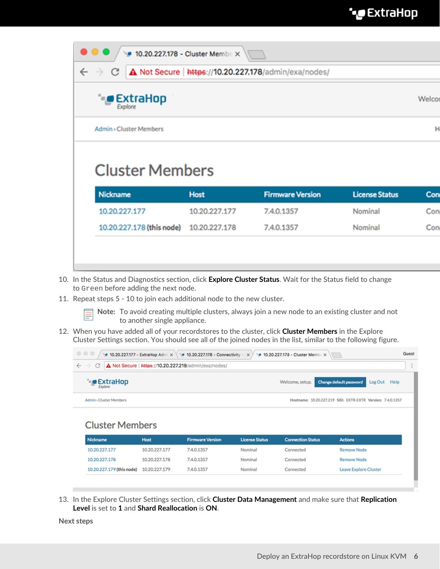| A Not Secure   https://10.20.227.178/admin/exa/nodes/<br>С |               |                         |                       |        |  |  |  |
|------------------------------------------------------------|---------------|-------------------------|-----------------------|--------|--|--|--|
| <b>ExtraHop</b><br>Explore                                 |               |                         |                       | Welcor |  |  |  |
|                                                            |               |                         |                       |        |  |  |  |
| <b>Admin</b> > Cluster Members                             |               |                         |                       |        |  |  |  |
| <b>Cluster Members</b><br><b>Nickname</b>                  | <b>Host</b>   | <b>Firmware Version</b> | <b>License Status</b> | Con    |  |  |  |
| 10.20.227.177                                              | 10.20.227.177 | 7.4.0.1357              | Nominal               | Con    |  |  |  |

- 10. In the Status and Diagnostics section, click **Explore Cluster Status**. Wait for the Status field to change to Green before adding the next node.
- 11. Repeat steps 5 10 to join each additional node to the new cluster.

10.20.227.178

**Note:** To avoid creating multiple clusters, always join a new node to an existing cluster and not to another single appliance.

12. When you have added all of your recordstores to the cluster, click **Cluster Members** in the Explore Cluster Settings section. You should see all of the joined nodes in the list, similar to the following figure.

| $\begin{array}{c} \circ \\ \circ \\ \circ \end{array}$<br>• 10.20.227.177 - ExtraHop Admi $\times$ \ • 10.20.227.178 - Connectivity - $\times$ )<br>• 10.20.227.179 - Cluster Member X |               |                         |                       |                          |                                                  |              |  |
|----------------------------------------------------------------------------------------------------------------------------------------------------------------------------------------|---------------|-------------------------|-----------------------|--------------------------|--------------------------------------------------|--------------|--|
| A Not Secure   https://10.20.227.219/admin/exa/nodes/<br>$\leftarrow$ $\rightarrow$<br>C                                                                                               |               |                         |                       |                          |                                                  |              |  |
| <b>CExtraHop</b><br>Explore                                                                                                                                                            |               |                         |                       | Welcome, setup.          | Change default password                          | Log Out Help |  |
| Admin > Cluster Members                                                                                                                                                                |               |                         |                       | Hostname:                | 10.20.227.219 SID: EXTR-EXTR Version: 7.4.0.1357 |              |  |
| <b>Cluster Members</b>                                                                                                                                                                 |               |                         |                       |                          |                                                  |              |  |
| Nickname                                                                                                                                                                               | <b>Host</b>   | <b>Firmware Version</b> | <b>License Status</b> | <b>Connection Status</b> | <b>Actions</b>                                   |              |  |
| 10.20.227.177                                                                                                                                                                          | 10.20.227.177 | 7.4.0.1357              | Nominal               | Connected                | <b>Remove Node</b>                               |              |  |

Nominal

Nominal

Connected

Connected

13. In the Explore Cluster Settings section, click **Cluster Data Management** and make sure that **Replication Level** is set to **1** and **Shard Reallocation** is **ON**.

7.4.0.1357

7.4.0.1357

**Next steps**

10.20.227.178

10.20.227.179 (this node) 10.20.227.179

**Remove Node** 

Leave Explore Cluster